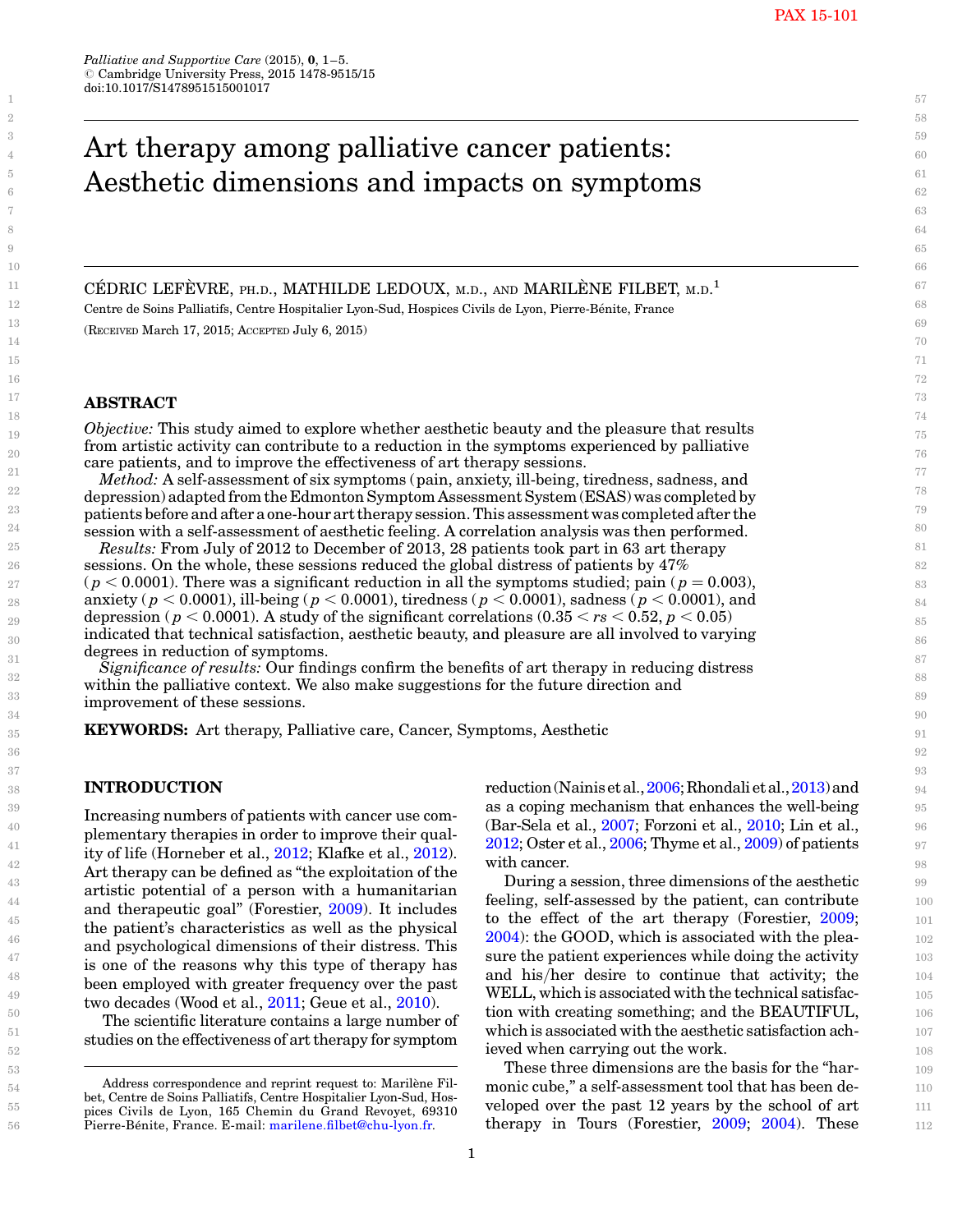# Art therapy among palliative cancer patients: Aesthetic dimensions and impacts on symptoms

CÉDRIC LEFÈVRE, PH.D., MATHILDE LEDOUX, M.D., AND MARILÈNE FILBET, M.D.<sup>1</sup> Centre de Soins Palliatifs, Centre Hospitalier Lyon-Sud, Hospices Civils de Lyon, Pierre-Bénite, France (RECEIVED March 17, 2015; ACCEPTED July 6, 2015)

# ABSTRACT

Objective: This study aimed to explore whether aesthetic beauty and the pleasure that results from artistic activity can contribute to a reduction in the symptoms experienced by palliative care patients, and to improve the effectiveness of art therapy sessions.

Method: A self-assessment of six symptoms (pain, anxiety, ill-being, tiredness, sadness, and depression) adapted from the Edmonton Symptom Assessment System (ESAS) was completed by patients before and afteraone-hourart therapysession. This assessment was completed after the session with a self-assessment of aesthetic feeling. A correlation analysis was then performed.

Results: From July of 2012 to December of 2013, 28 patients took part in 63 art therapy sessions. On the whole, these sessions reduced the global distress of patients by 47% ( $p < 0.0001$ ). There was a significant reduction in all the symptoms studied; pain ( $p = 0.003$ ), anxiety ( $p < 0.0001$ ), ill-being ( $p < 0.0001$ ), tiredness ( $p < 0.0001$ ), sadness ( $p < 0.0001$ ), and depression ( $p < 0.0001$ ). A study of the significant correlations (0.35  $< r_s < 0.52$ ,  $p < 0.05$ ) indicated that technical satisfaction, aesthetic beauty, and pleasure are all involved to varying degrees in reduction of symptoms.

Significance of results: Our findings confirm the benefits of art therapy in reducing distress within the palliative context. We also make suggestions for the future direction and improvement of these sessions.

KEYWORDS: Art therapy, Palliative care, Cancer, Symptoms, Aesthetic

### INTRODUCTION

Increasing numbers of patients with cancer use complementary therapies in order to improve their quality of life (Horneber et al., [2012](#page-4-0); Klafke et al., [2012\)](#page-4-0). Art therapy can be defined as "the exploitation of the artistic potential of a person with a humanitarian and therapeutic goal" (Forestier, [2009](#page-4-0)). It includes the patient's characteristics as well as the physical and psychological dimensions of their distress. This is one of the reasons why this type of therapy has been employed with greater frequency over the past two decades (Wood et al., [2011;](#page-4-0) Geue et al., [2010\)](#page-4-0).

The scientific literature contains a large number of studies on the effectiveness of art therapy for symptom reduction(Nainisetal.,[2006](#page-4-0);Rhondalietal.,[2013](#page-4-0))and as a coping mechanism that enhances the well-being (Bar-Sela et al., [2007](#page-4-0); Forzoni et al., [2010;](#page-4-0) Lin et al., [2012;](#page-4-0) Oster et al., [2006](#page-4-0); Thyme et al., [2009\)](#page-4-0) of patients with cancer.

During a session, three dimensions of the aesthetic feeling, self-assessed by the patient, can contribute to the effect of the art therapy (Forestier, [2009](#page-4-0); ): the GOOD, which is associated with the pleasure the patient experiences while doing the activity and his/her desire to continue that activity; the WELL, which is associated with the technical satisfaction with creating something; and the BEAUTIFUL, which is associated with the aesthetic satisfaction achieved when carrying out the work.

These three dimensions are the basis for the "harmonic cube," a self-assessment tool that has been developed over the past 12 years by the school of art therapy in Tours (Forestier, [2009;](#page-4-0) [2004\)](#page-4-0). These

Address correspondence and reprint request to: Marilène Filbet, Centre de Soins Palliatifs, Centre Hospitalier Lyon-Sud, Hospices Civils de Lyon, 165 Chemin du Grand Revoyet, 69310 Pierre-Bénite, France. E-mail: [marilene.filbet@chu-lyon.fr.](mailto:marilene.filbet@chu-lyon.fr)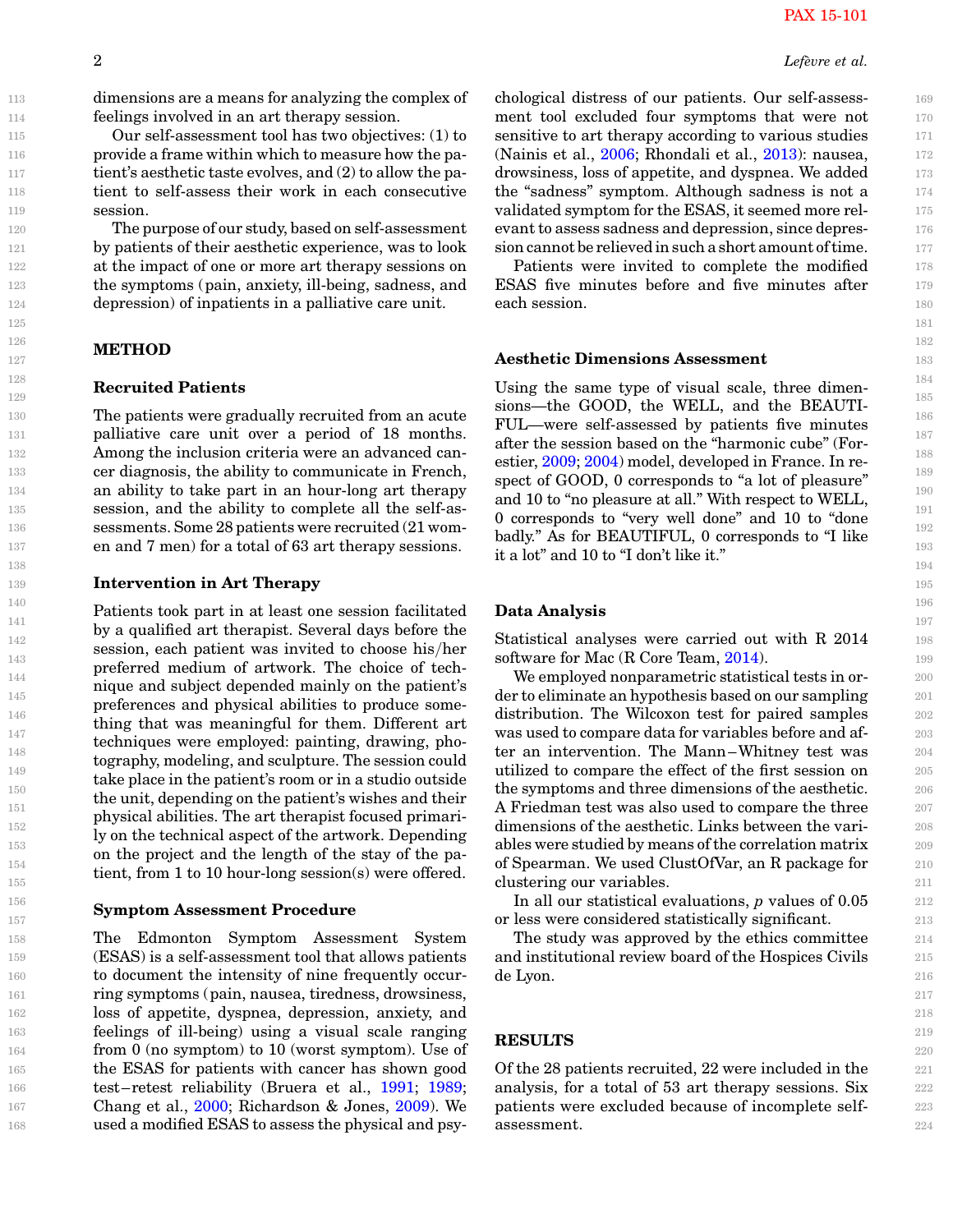dimensions are a means for analyzing the complex of feelings involved in an art therapy session.

Our self-assessment tool has two objectives: (1) to provide a frame within which to measure how the patient's aesthetic taste evolves, and (2) to allow the patient to self-assess their work in each consecutive session.

The purpose of our study, based on self-assessment by patients of their aesthetic experience, was to look at the impact of one or more art therapy sessions on the symptoms (pain, anxiety, ill-being, sadness, and depression) of inpatients in a palliative care unit.

## METHOD

## Recruited Patients

The patients were gradually recruited from an acute palliative care unit over a period of 18 months. Among the inclusion criteria were an advanced cancer diagnosis, the ability to communicate in French, an ability to take part in an hour-long art therapy session, and the ability to complete all the self-assessments. Some 28 patients were recruited (21 women and 7 men) for a total of 63 art therapy sessions.

#### Intervention in Art Therapy

Patients took part in at least one session facilitated by a qualified art therapist. Several days before the session, each patient was invited to choose his/her preferred medium of artwork. The choice of technique and subject depended mainly on the patient's preferences and physical abilities to produce something that was meaningful for them. Different art techniques were employed: painting, drawing, photography, modeling, and sculpture. The session could take place in the patient's room or in a studio outside the unit, depending on the patient's wishes and their physical abilities. The art therapist focused primarily on the technical aspect of the artwork. Depending on the project and the length of the stay of the patient, from 1 to 10 hour-long session(s) were offered.

#### Symptom Assessment Procedure

The Edmonton Symptom Assessment System (ESAS) is a self-assessment tool that allows patients to document the intensity of nine frequently occurring symptoms (pain, nausea, tiredness, drowsiness, loss of appetite, dyspnea, depression, anxiety, and feelings of ill-being) using a visual scale ranging from 0 (no symptom) to 10 (worst symptom). Use of the ESAS for patients with cancer has shown good test–retest reliability (Bruera et al., [1991](#page-4-0); [1989](#page-4-0); Chang et al., [2000;](#page-4-0) Richardson & Jones, [2009](#page-4-0)). We used a modified ESAS to assess the physical and psychological distress of our patients. Our self-assessment tool excluded four symptoms that were not sensitive to art therapy according to various studies (Nainis et al., [2006](#page-4-0); Rhondali et al., [2013\)](#page-4-0): nausea, drowsiness, loss of appetite, and dyspnea. We added the "sadness" symptom. Although sadness is not a validated symptom for the ESAS, it seemed more relevant to assess sadness and depression, since depression cannot be relieved in such a short amount of time.

Patients were invited to complete the modified ESAS five minutes before and five minutes after each session.

#### Aesthetic Dimensions Assessment

Using the same type of visual scale, three dimensions—the GOOD, the WELL, and the BEAUTI-FUL—were self-assessed by patients five minutes after the session based on the "harmonic cube" (Forestier, [2009](#page-4-0); [2004\)](#page-4-0) model, developed in France. In respect of GOOD, 0 corresponds to "a lot of pleasure" and 10 to "no pleasure at all." With respect to WELL, 0 corresponds to "very well done" and 10 to "done badly." As for BEAUTIFUL, 0 corresponds to "I like it a lot" and 10 to "I don't like it."

#### Data Analysis

Statistical analyses were carried out with R 2014 software for Mac (R Core Team, [2014\)](#page-4-0).

We employed nonparametric statistical tests in order to eliminate an hypothesis based on our sampling distribution. The Wilcoxon test for paired samples was used to compare data for variables before and after an intervention. The Mann–Whitney test was utilized to compare the effect of the first session on the symptoms and three dimensions of the aesthetic. A Friedman test was also used to compare the three dimensions of the aesthetic. Links between the variables were studied by means of the correlation matrix of Spearman. We used ClustOfVar, an R package for clustering our variables.

In all our statistical evaluations, p values of 0.05 or less were considered statistically significant.

The study was approved by the ethics committee and institutional review board of the Hospices Civils de Lyon.

## RESULTS

Of the 28 patients recruited, 22 were included in the analysis, for a total of 53 art therapy sessions. Six patients were excluded because of incomplete selfassessment.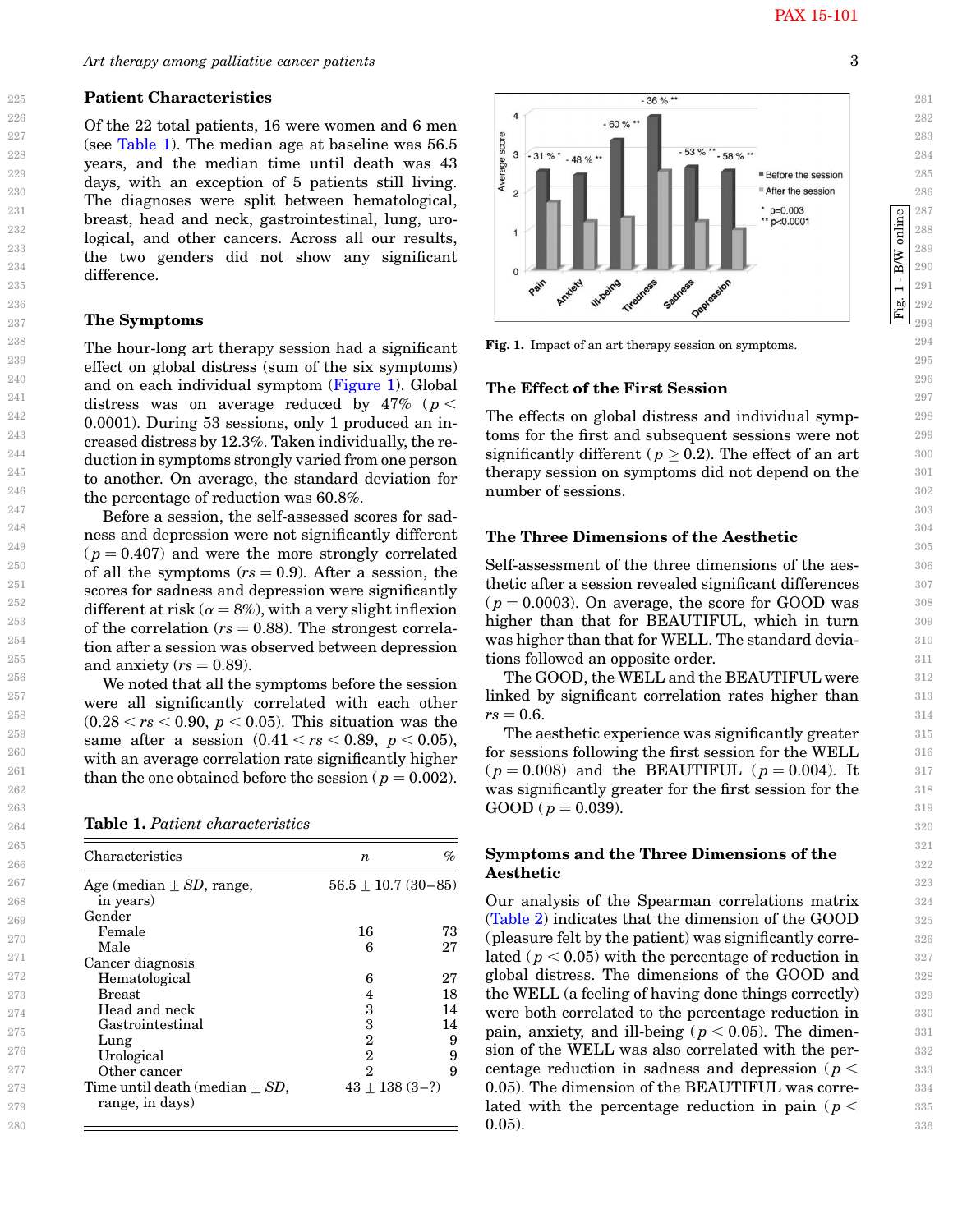Fig. 1 - B/W online

 $1 - \mathbf{B} \mathbf{W}$ 

Fig.

online

Art therapy among palliative cancer patients 3

#### Patient Characteristics

Of the 22 total patients, 16 were women and 6 men (see Table 1). The median age at baseline was 56.5 years, and the median time until death was 43 days, with an exception of 5 patients still living. The diagnoses were split between hematological, breast, head and neck, gastrointestinal, lung, urological, and other cancers. Across all our results, the two genders did not show any significant difference.

## The Symptoms

The hour-long art therapy session had a significant effect on global distress (sum of the six symptoms) and on each individual symptom (Figure 1). Global distress was on average reduced by  $47\%$  ( $p <$ 0.0001). During 53 sessions, only 1 produced an increased distress by 12.3%. Taken individually, the reduction in symptoms strongly varied from one person to another. On average, the standard deviation for the percentage of reduction was 60.8%.

Before a session, the self-assessed scores for sadness and depression were not significantly different  $(p = 0.407)$  and were the more strongly correlated of all the symptoms  $(rs = 0.9)$ . After a session, the scores for sadness and depression were significantly different at risk ( $\alpha = 8\%$ ), with a very slight inflexion of the correlation ( $rs = 0.88$ ). The strongest correlation after a session was observed between depression and anxiety ( $rs = 0.89$ ).

We noted that all the symptoms before the session were all significantly correlated with each other  $(0.28 < rs < 0.90, p < 0.05)$ . This situation was the same after a session  $(0.41 < rs < 0.89, p < 0.05)$ , with an average correlation rate significantly higher than the one obtained before the session ( $p = 0.002$ ).

Table 1. Patient characteristics

| Characteristics                                     | n                      | %  |
|-----------------------------------------------------|------------------------|----|
| Age (median $\pm SD$ , range,                       | $56.5 + 10.7(30 - 85)$ |    |
| in years)                                           |                        |    |
| Gender                                              |                        |    |
| Female                                              | 16                     | 73 |
| Male                                                | 6                      | 27 |
| Cancer diagnosis                                    |                        |    |
| Hematological                                       | 6                      | 27 |
| <b>Breast</b>                                       |                        | 18 |
| Head and neck                                       | 3                      | 14 |
| Gastrointestinal                                    | 3                      | 14 |
| Lung                                                | 2                      | 9  |
| Urological                                          | 2                      | 9  |
| Other cancer                                        | 2                      | 9  |
| Time until death (median $+$ SD,<br>range, in days) | $43 + 138(3 - ?)$      |    |



Fig. 1. Impact of an art therapy session on symptoms.

#### The Effect of the First Session

The effects on global distress and individual symptoms for the first and subsequent sessions were not significantly different ( $p \geq 0.2$ ). The effect of an art therapy session on symptoms did not depend on the number of sessions.

#### The Three Dimensions of the Aesthetic

Self-assessment of the three dimensions of the aesthetic after a session revealed significant differences  $(p = 0.0003)$ . On average, the score for GOOD was higher than that for BEAUTIFUL, which in turn was higher than that for WELL. The standard deviations followed an opposite order.

The GOOD, the WELL and the BEAUTIFUL were linked by significant correlation rates higher than  $rs = 0.6$ .

The aesthetic experience was significantly greater for sessions following the first session for the WELL  $(p = 0.008)$  and the BEAUTIFUL  $(p = 0.004)$ . It was significantly greater for the first session for the  $GOOD$  ( $p = 0.039$ ).

## Symptoms and the Three Dimensions of the Aesthetic

Our analysis of the Spearman correlations matrix [\(Table 2](#page-3-0)) indicates that the dimension of the GOOD (pleasure felt by the patient) was significantly correlated ( $p < 0.05$ ) with the percentage of reduction in global distress. The dimensions of the GOOD and the WELL (a feeling of having done things correctly) were both correlated to the percentage reduction in pain, anxiety, and ill-being ( $p < 0.05$ ). The dimension of the WELL was also correlated with the percentage reduction in sadness and depression ( $p <$ 0.05). The dimension of the BEAUTIFUL was correlated with the percentage reduction in pain ( $p <$ 0.05).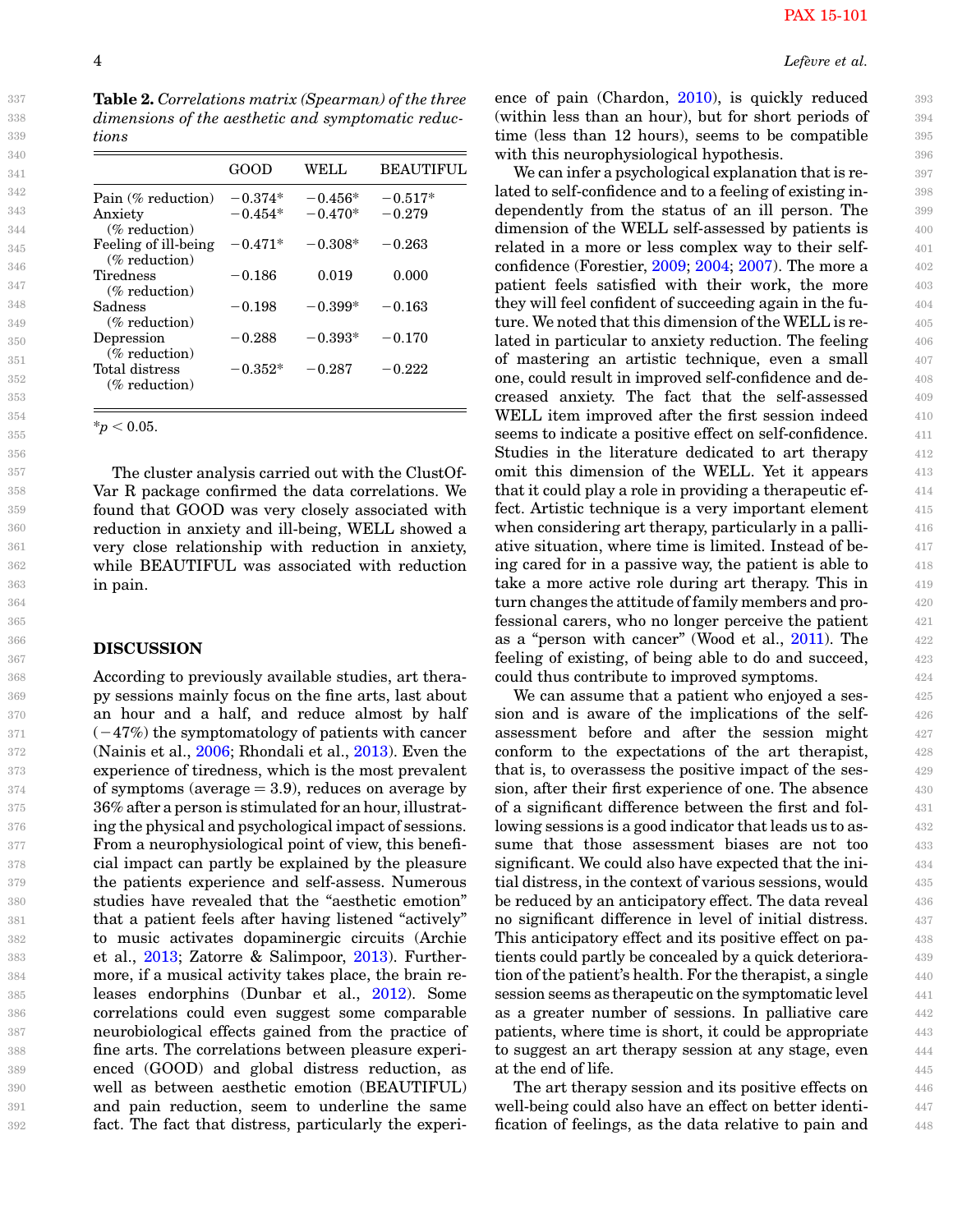<span id="page-3-0"></span>

| tions                                    |           |           |           |
|------------------------------------------|-----------|-----------|-----------|
|                                          | GOOD      | WELL      | BEAUTIFUL |
| Pain (% reduction)                       | $-0.374*$ | $-0.456*$ | $-0.517*$ |
| Anxiety<br>$(\%$ reduction)              | $-0.454*$ | $-0.470*$ | $-0.279$  |
| Feeling of ill-being<br>$(\%$ reduction) | $-0.471*$ | $-0.308*$ | $-0.263$  |
| <b>Tiredness</b><br>$(\%$ reduction)     | $-0.186$  | 0.019     | 0.000     |
| Sadness<br>$(\%$ reduction)              | $-0.198$  | $-0.399*$ | $-0.163$  |
| Depression<br>$(\%$ reduction)           | $-0.288$  | $-0.393*$ | $-0.170$  |
| Total distress<br>$(\%$ reduction)       | $-0.352*$ | $-0.287$  | $-0.222$  |

The cluster analysis carried out with the ClustOf-Var R package confirmed the data correlations. We found that GOOD was very closely associated with reduction in anxiety and ill-being, WELL showed a very close relationship with reduction in anxiety, while BEAUTIFUL was associated with reduction in pain.

## DISCUSSION

According to previously available studies, art therapy sessions mainly focus on the fine arts, last about an hour and a half, and reduce almost by half  $(-47%)$  the symptomatology of patients with cancer (Nainis et al., [2006;](#page-4-0) Rhondali et al., [2013\)](#page-4-0). Even the experience of tiredness, which is the most prevalent of symptoms (average  $= 3.9$ ), reduces on average by 36% after a person is stimulated for an hour, illustrating the physical and psychological impact of sessions. From a neurophysiological point of view, this beneficial impact can partly be explained by the pleasure the patients experience and self-assess. Numerous studies have revealed that the "aesthetic emotion" that a patient feels after having listened "actively" to music activates dopaminergic circuits (Archie et al., [2013;](#page-4-0) Zatorre & Salimpoor, [2013](#page-4-0)). Furthermore, if a musical activity takes place, the brain releases endorphins (Dunbar et al., [2012](#page-4-0)). Some correlations could even suggest some comparable neurobiological effects gained from the practice of fine arts. The correlations between pleasure experienced (GOOD) and global distress reduction, as well as between aesthetic emotion (BEAUTIFUL) and pain reduction, seem to underline the same fact. The fact that distress, particularly the experi-

ence of pain (Chardon, [2010\)](#page-4-0), is quickly reduced (within less than an hour), but for short periods of time (less than 12 hours), seems to be compatible with this neurophysiological hypothesis.

We can infer a psychological explanation that is related to self-confidence and to a feeling of existing independently from the status of an ill person. The dimension of the WELL self-assessed by patients is related in a more or less complex way to their selfconfidence (Forestier, [2009](#page-4-0); [2004;](#page-4-0) [2007\)](#page-4-0). The more a patient feels satisfied with their work, the more they will feel confident of succeeding again in the future. We noted that this dimension of the WELL is related in particular to anxiety reduction. The feeling of mastering an artistic technique, even a small one, could result in improved self-confidence and decreased anxiety. The fact that the self-assessed WELL item improved after the first session indeed seems to indicate a positive effect on self-confidence. Studies in the literature dedicated to art therapy omit this dimension of the WELL. Yet it appears that it could play a role in providing a therapeutic effect. Artistic technique is a very important element when considering art therapy, particularly in a palliative situation, where time is limited. Instead of being cared for in a passive way, the patient is able to take a more active role during art therapy. This in turn changes the attitude of family members and professional carers, who no longer perceive the patient as a "person with cancer" (Wood et al., [2011\)](#page-4-0). The feeling of existing, of being able to do and succeed, could thus contribute to improved symptoms.

We can assume that a patient who enjoyed a session and is aware of the implications of the selfassessment before and after the session might conform to the expectations of the art therapist, that is, to overassess the positive impact of the session, after their first experience of one. The absence of a significant difference between the first and following sessions is a good indicator that leads us to assume that those assessment biases are not too significant. We could also have expected that the initial distress, in the context of various sessions, would be reduced by an anticipatory effect. The data reveal no significant difference in level of initial distress. This anticipatory effect and its positive effect on patients could partly be concealed by a quick deterioration of the patient's health. For the therapist, a single session seems as therapeutic on the symptomatic level as a greater number of sessions. In palliative care patients, where time is short, it could be appropriate to suggest an art therapy session at any stage, even at the end of life.

The art therapy session and its positive effects on well-being could also have an effect on better identification of feelings, as the data relative to pain and